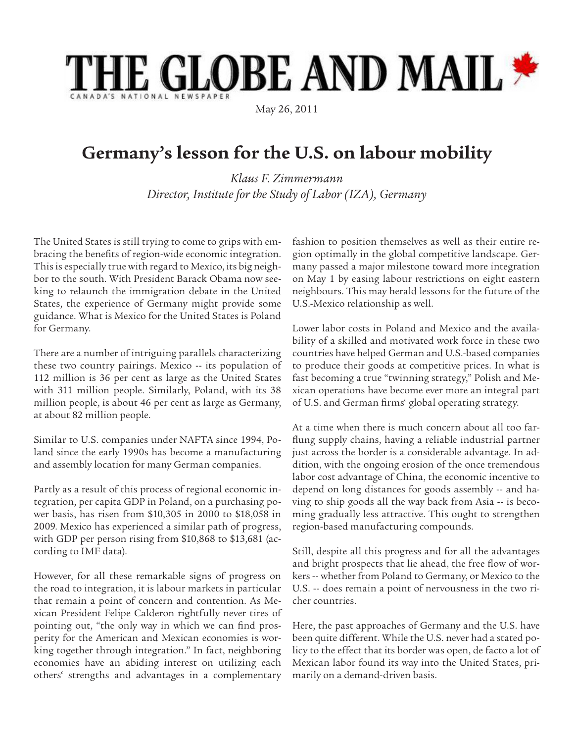## **HE GLOBE AND MAIL \***

May 26, 2011

## **Germany's lesson for the U.S. on labour mobility**

*Klaus F. Zimmermann Director, Institute for the Study of Labor (IZA), Germany*

The United States is still trying to come to grips with embracing the benefits of region-wide economic integration. This is especially true with regard to Mexico, its big neighbor to the south. With President Barack Obama now seeking to relaunch the immigration debate in the United States, the experience of Germany might provide some guidance. What is Mexico for the United States is Poland for Germany.

There are a number of intriguing parallels characterizing these two country pairings. Mexico -- its population of 112 million is 36 per cent as large as the United States with 311 million people. Similarly, Poland, with its 38 million people, is about 46 per cent as large as Germany, at about 82 million people.

Similar to U.S. companies under NAFTA since 1994, Poland since the early 1990s has become a manufacturing and assembly location for many German companies.

Partly as a result of this process of regional economic integration, per capita GDP in Poland, on a purchasing power basis, has risen from \$10,305 in 2000 to \$18,058 in 2009. Mexico has experienced a similar path of progress, with GDP per person rising from \$10,868 to \$13,681 (according to IMF data).

However, for all these remarkable signs of progress on the road to integration, it is labour markets in particular that remain a point of concern and contention. As Mexican President Felipe Calderon rightfully never tires of pointing out, "the only way in which we can find prosperity for the American and Mexican economies is working together through integration." In fact, neighboring economies have an abiding interest on utilizing each others' strengths and advantages in a complementary

fashion to position themselves as well as their entire region optimally in the global competitive landscape. Germany passed a major milestone toward more integration on May 1 by easing labour restrictions on eight eastern neighbours. This may herald lessons for the future of the U.S.-Mexico relationship as well.

Lower labor costs in Poland and Mexico and the availability of a skilled and motivated work force in these two countries have helped German and U.S.-based companies to produce their goods at competitive prices. In what is fast becoming a true "twinning strategy," Polish and Mexican operations have become ever more an integral part of U.S. and German firms' global operating strategy.

At a time when there is much concern about all too farflung supply chains, having a reliable industrial partner just across the border is a considerable advantage. In addition, with the ongoing erosion of the once tremendous labor cost advantage of China, the economic incentive to depend on long distances for goods assembly -- and having to ship goods all the way back from Asia -- is becoming gradually less attractive. This ought to strengthen region-based manufacturing compounds.

Still, despite all this progress and for all the advantages and bright prospects that lie ahead, the free flow of workers -- whether from Poland to Germany, or Mexico to the U.S. -- does remain a point of nervousness in the two richer countries.

Here, the past approaches of Germany and the U.S. have been quite different. While the U.S. never had a stated policy to the effect that its border was open, de facto a lot of Mexican labor found its way into the United States, primarily on a demand-driven basis.